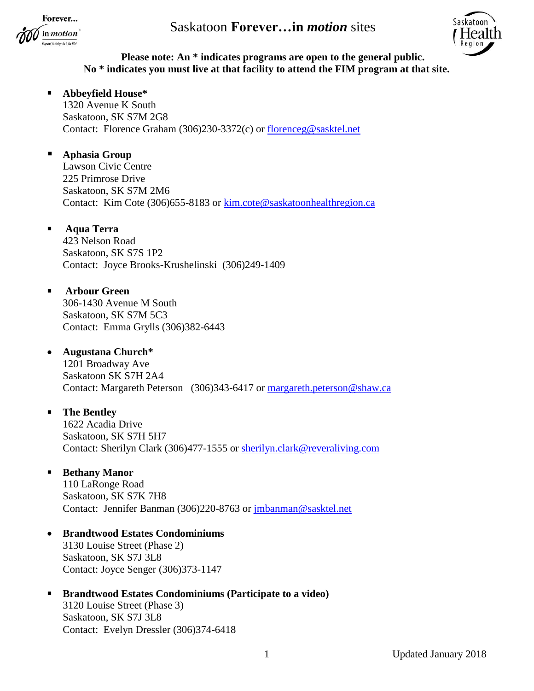Forever... in *motion* 



## **Please note: An \* indicates programs are open to the general public. No \* indicates you must live at that facility to attend the FIM program at that site.**

## **Abbeyfield House\***

1320 Avenue K South Saskatoon, SK S7M 2G8 Contact: Florence Graham (306)230-3372(c) or [florenceg@sasktel.net](mailto:florenceg@sasktel.net)

## **Aphasia Group**

Lawson Civic Centre 225 Primrose Drive Saskatoon, SK S7M 2M6 Contact: Kim Cote (306)655-8183 or [kim.cote@saskatoonhealthregion.ca](mailto:kim.cote@saskatoonhealthregion.ca)

## **Aqua Terra**

423 Nelson Road Saskatoon, SK S7S 1P2 Contact: Joyce Brooks-Krushelinski (306)249-1409

### **Arbour Green**

306-1430 Avenue M South Saskatoon, SK S7M 5C3 Contact: Emma Grylls (306)382-6443

### **Augustana Church\***

1201 Broadway Ave Saskatoon SK S7H 2A4 Contact: Margareth Peterson (306)343-6417 or [margareth.peterson@shaw.ca](mailto:margareth.peterson@shaw.ca)

## **The Bentley**

1622 Acadia Drive Saskatoon, SK S7H 5H7 Contact: Sherilyn Clark (306)477-1555 or [sherilyn.clark@reveraliving.com](mailto:sherilyn.clark@reveraliving.com)

## **Bethany Manor**

110 LaRonge Road Saskatoon, SK S7K 7H8 Contact: Jennifer Banman (306)220-8763 or [jmbanman@sasktel.net](mailto:jmbanman@sasktel.net)

# **Brandtwood Estates Condominiums**

3130 Louise Street (Phase 2) Saskatoon, SK S7J 3L8 Contact: Joyce Senger (306)373-1147

## **Brandtwood Estates Condominiums (Participate to a video)**

3120 Louise Street (Phase 3) Saskatoon, SK S7J 3L8 Contact: Evelyn Dressler (306)374-6418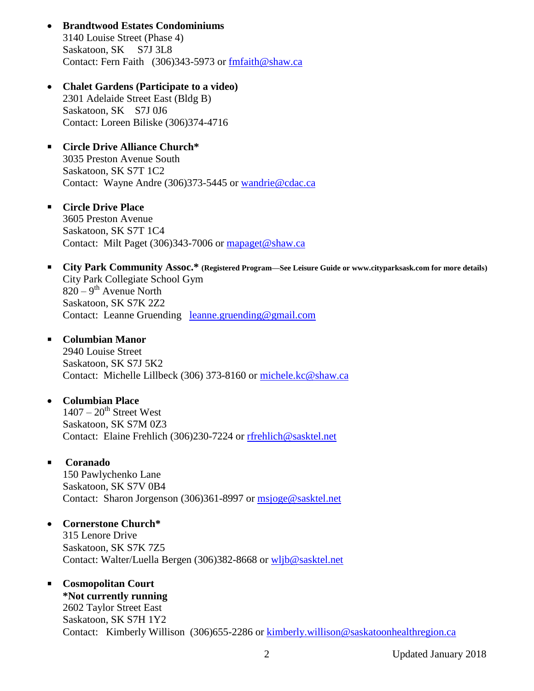- **Brandtwood Estates Condominiums** 3140 Louise Street (Phase 4) Saskatoon, SK S7J 3L8 Contact: Fern Faith (306)343-5973 or [fmfaith@shaw.ca](mailto:fmfaith@shaw.ca)
- **Chalet Gardens (Participate to a video)** 2301 Adelaide Street East (Bldg B) Saskatoon, SK S7J 0J6 Contact: Loreen Biliske (306)374-4716
- **Circle Drive Alliance Church\*** 3035 Preston Avenue South Saskatoon, SK S7T 1C2 Contact: Wayne Andre (306)373-5445 or [wandrie@cdac.ca](mailto:wandrie@cdac.ca)
- **Circle Drive Place** 3605 Preston Avenue Saskatoon, SK S7T 1C4 Contact: Milt Paget (306)343-7006 or [mapaget@shaw.ca](mailto:mapaget@shaw.ca)
- **City Park Community Assoc.\* (Registered Program—See Leisure Guide or www.cityparksask.com for more details)** City Park Collegiate School Gym  $820 - 9$ <sup>th</sup> Avenue North Saskatoon, SK S7K 2Z2 Contact: Leanne Gruending [leanne.gruending@gmail.com](mailto:leanne.gruending@gmail.com)
- **Columbian Manor**

2940 Louise Street Saskatoon, SK S7J 5K2 Contact: Michelle Lillbeck (306) 373-8160 or [michele.kc@shaw.ca](mailto:michele.kc@shaw.ca)

### **Columbian Place**

 $1407 - 20$ <sup>th</sup> Street West Saskatoon, SK S7M 0Z3 Contact: Elaine Frehlich (306)230-7224 or [rfrehlich@sasktel.net](mailto:rfrehlich@sasktel.net)

### **Coranado**

150 Pawlychenko Lane Saskatoon, SK S7V 0B4 Contact: Sharon Jorgenson (306)361-8997 or [msjoge@sasktel.net](mailto:msjoge@sasktel.net)

## **Cornerstone Church\***

315 Lenore Drive Saskatoon, SK S7K 7Z5 Contact: Walter/Luella Bergen (306)382-8668 or [wljb@sasktel.net](mailto:wljb@sasktel.net)

## **Cosmopolitan Court**

**\*Not currently running** 2602 Taylor Street East Saskatoon, SK S7H 1Y2 Contact: Kimberly Willison (306)655-2286 or [kimberly.willison@saskatoonhealthregion.ca](mailto:kimberly.willison@saskatoonhealthregion.ca)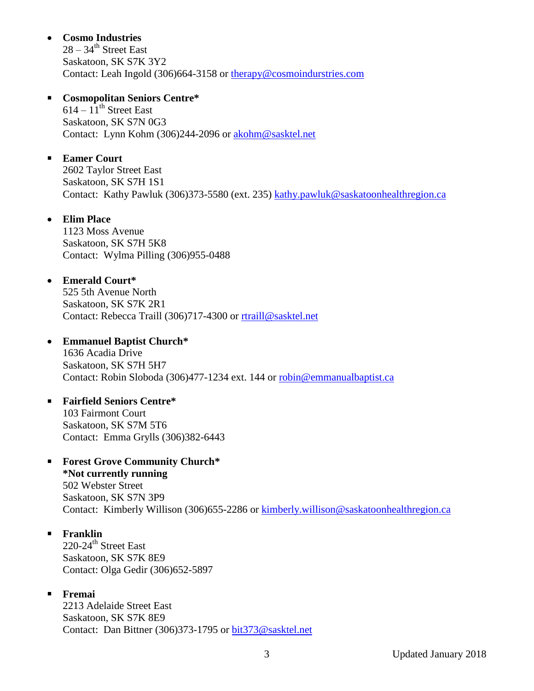## **Cosmo Industries**

 $28 - 34$ <sup>th</sup> Street East Saskatoon, SK S7K 3Y2 Contact: Leah Ingold (306)664-3158 or [therapy@cosmoindurstries.com](mailto:therapy@cosmoindurstries.com)

### **Cosmopolitan Seniors Centre\***

 $614 - 11$ <sup>th</sup> Street East Saskatoon, SK S7N 0G3 Contact: Lynn Kohm (306)244-2096 or [akohm@sasktel.net](mailto:akohm@sasktel.net)

## **Eamer Court**

2602 Taylor Street East Saskatoon, SK S7H 1S1 Contact: Kathy Pawluk (306)373-5580 (ext. 235) [kathy.pawluk@saskatoonhealthregion.ca](mailto:kathy.pawluk@saskatoonhealthregion.ca)

### **Elim Place**

1123 Moss Avenue Saskatoon, SK S7H 5K8 Contact: Wylma Pilling (306)955-0488

### **Emerald Court\***

525 5th Avenue North Saskatoon, SK S7K 2R1 Contact: Rebecca Traill (306)717-4300 or [rtraill@sasktel.net](mailto:rtraill@sasktel.net)

## **Emmanuel Baptist Church\***

1636 Acadia Drive Saskatoon, SK S7H 5H7 Contact: Robin Sloboda (306)477-1234 ext. 144 or [robin@emmanualbaptist.ca](mailto:robin@emmanualbaptist.ca)

# **Fairfield Seniors Centre\***

103 Fairmont Court Saskatoon, SK S7M 5T6 Contact: Emma Grylls (306)382-6443

# **Forest Grove Community Church\***

**\*Not currently running** 502 Webster Street Saskatoon, SK S7N 3P9 Contact: Kimberly Willison (306)655-2286 or [kimberly.willison@saskatoonhealthregion.ca](mailto:kimberly.willison@saskatoonhealthregion.ca)

# **Franklin**

220-24<sup>th</sup> Street East Saskatoon, SK S7K 8E9 Contact: Olga Gedir (306)652-5897

# **Fremai**

2213 Adelaide Street East Saskatoon, SK S7K 8E9 Contact: Dan Bittner (306)373-1795 or [bit373@sasktel.net](mailto:bit373@sasktel.net)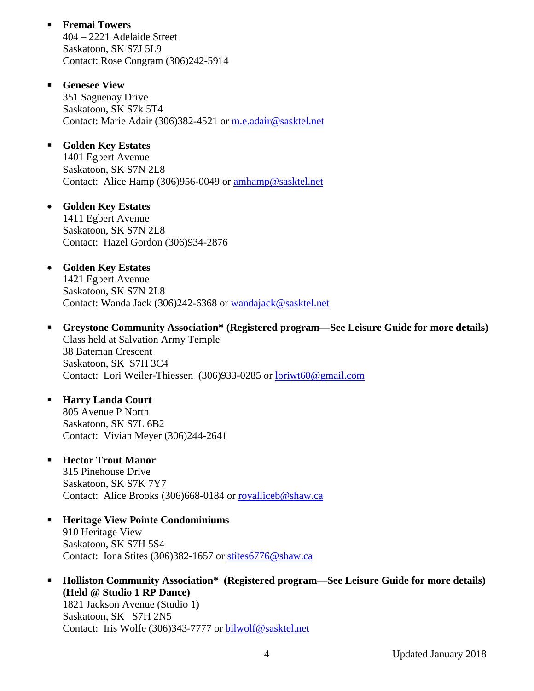- **Fremai Towers** 404 – 2221 Adelaide Street Saskatoon, SK S7J 5L9 Contact: Rose Congram (306)242-5914
- **Genesee View** 351 Saguenay Drive Saskatoon, SK S7k 5T4 Contact: Marie Adair (306)382-4521 or [m.e.adair@sasktel.net](mailto:m.e.adair@sasktel.net)
- **Golden Key Estates** 1401 Egbert Avenue Saskatoon, SK S7N 2L8 Contact: Alice Hamp (306)956-0049 or [amhamp@sasktel.net](mailto:amhamp@sasktel.net)
- **Golden Key Estates** 1411 Egbert Avenue Saskatoon, SK S7N 2L8 Contact: Hazel Gordon (306)934-2876
- **Golden Key Estates** 1421 Egbert Avenue Saskatoon, SK S7N 2L8 Contact: Wanda Jack (306)242-6368 or [wandajack@sasktel.net](mailto:wandajack@sasktel.net)
- **Greystone Community Association\* (Registered program—See Leisure Guide for more details)** Class held at Salvation Army Temple 38 Bateman Crescent Saskatoon, SK S7H 3C4 Contact: Lori Weiler-Thiessen (306)933-0285 or [loriwt60@gmail.com](mailto:loriwt60@gmail.com)
- **Harry Landa Court** 805 Avenue P North Saskatoon, SK S7L 6B2 Contact: Vivian Meyer (306)244-2641
- **Hector Trout Manor**

315 Pinehouse Drive Saskatoon, SK S7K 7Y7 Contact: Alice Brooks (306)668-0184 or [royalliceb@shaw.ca](mailto:royalliceb@shaw.ca)

- **Heritage View Pointe Condominiums**  910 Heritage View Saskatoon, SK S7H 5S4 Contact: Iona Stites (306)382-1657 or [stites6776@shaw.ca](mailto:stites6776@shaw.ca)
- **Holliston Community Association\*** (Registered program—See Leisure Guide for more details) **(Held @ Studio 1 RP Dance)** 1821 Jackson Avenue (Studio 1) Saskatoon, SK S7H 2N5 Contact: Iris Wolfe (306)343-7777 or [bilwolf@sasktel.net](mailto:bilwolf@sasktel.net)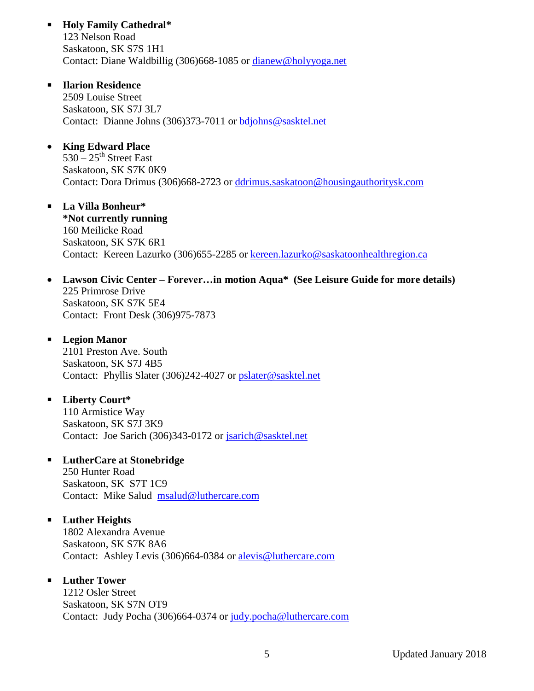- **Holy Family Cathedral\*** 123 Nelson Road Saskatoon, SK S7S 1H1 Contact: Diane Waldbillig (306)668-1085 or [dianew@holyyoga.net](mailto:dianew@holyyoga.net)
- **Ilarion Residence** 2509 Louise Street Saskatoon, SK S7J 3L7 Contact: Dianne Johns (306)373-7011 or [bdjohns@sasktel.net](mailto:bdjohns@sasktel.net)
- **King Edward Place**  $530 - 25$ <sup>th</sup> Street East Saskatoon, SK S7K 0K9 Contact: Dora Drimus (306)668-2723 or [ddrimus.saskatoon@housingauthoritysk.com](mailto:ddrimus.saskatoon@housingauthoritysk.com)
- **La Villa Bonheur\* \*Not currently running** 160 Meilicke Road Saskatoon, SK S7K 6R1 Contact: Kereen Lazurko (306)655-2285 or [kereen.lazurko@saskatoonhealthregion.ca](mailto:kereen.lazurko@saskatoonhealthregion.ca)
- **Lawson Civic Center – Forever…in motion Aqua\* (See Leisure Guide for more details)** 225 Primrose Drive Saskatoon, SK S7K 5E4 Contact: Front Desk (306)975-7873
- **Legion Manor** 2101 Preston Ave. South Saskatoon, SK S7J 4B5 Contact: Phyllis Slater (306)242-4027 or [pslater@sasktel.net](mailto:pslater@sasktel.net)
- **Liberty Court\*** 110 Armistice Way Saskatoon, SK S7J 3K9 Contact: Joe Sarich (306)343-0172 or [jsarich@sasktel.net](mailto:jsarich@sasktel.net)
- **LutherCare at Stonebridge** 250 Hunter Road

Saskatoon, SK S7T 1C9 Contact: Mike Salud [msalud@luthercare.com](mailto:msalud@luthercare.com)

# **Luther Heights**

1802 Alexandra Avenue Saskatoon, SK S7K 8A6 Contact: Ashley Levis (306)664-0384 or [alevis@luthercare.com](mailto:alevis@luthercare.com)

# **Luther Tower**

1212 Osler Street Saskatoon, SK S7N OT9 Contact: Judy Pocha (306)664-0374 or [judy.pocha@luthercare.com](mailto:judy.pocha@luthercare.com)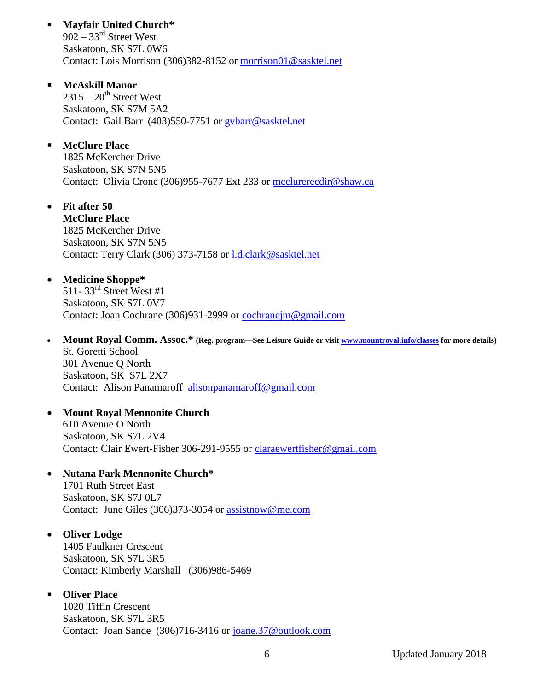**Mayfair United Church\***  $902 - 33<sup>rd</sup>$  Street West Saskatoon, SK S7L 0W6 Contact: Lois Morrison (306)382-8152 or [morrison01@sasktel.net](mailto:morrison01@sasktel.net)

 **McAskill Manor**  $2315 - 20$ <sup>th</sup> Street West Saskatoon, SK S7M 5A2 Contact: Gail Barr (403)550-7751 or [gvbarr@sasktel.net](mailto:gvbarr@sasktel.net)

- **McClure Place** 1825 McKercher Drive Saskatoon, SK S7N 5N5 Contact: Olivia Crone (306)955-7677 Ext 233 or [mcclurerecdir@shaw.ca](mailto:mcclurerecdir@shaw.ca)
- **Fit after 50**

**McClure Place** 1825 McKercher Drive Saskatoon, SK S7N 5N5 Contact: Terry Clark (306) 373-7158 or [l.d.clark@sasktel.net](mailto:l.d.clark@sasktel.net)

### **Medicine Shoppe\***

 $511 - 33^{rd}$  Street West #1 Saskatoon, SK S7L 0V7 Contact: Joan Cochrane (306)931-2999 or [cochranejm@gmail.com](mailto:cochranejm@gmail.com)

- **Mount Royal Comm. Assoc.\* (Reg. program—See Leisure Guide or visit [www.mountroyal.info/classes](http://www.mountroyal.info/classes) for more details)** St. Goretti School 301 Avenue Q North Saskatoon, SK S7L 2X7 Contact: Alison Panamaroff [alisonpanamaroff@gmail.com](mailto:alisonpanamaroff@gmail.com)
- **Mount Royal Mennonite Church** 610 Avenue O North Saskatoon, SK S7L 2V4 Contact: Clair Ewert-Fisher 306-291-9555 or [claraewertfisher@gmail.com](mailto:claraewertfisher@gmail.com)

#### **Nutana Park Mennonite Church\***

1701 Ruth Street East Saskatoon, SK S7J 0L7 Contact: June Giles (306)373-3054 or [assistnow@me.com](mailto:assistnow@me.com)

#### **Oliver Lodge**

1405 Faulkner Crescent Saskatoon, SK S7L 3R5 Contact: Kimberly Marshall (306)986-5469

#### **Oliver Place**

1020 Tiffin Crescent Saskatoon, SK S7L 3R5 Contact: Joan Sande (306)716-3416 or [joane.37@outlook.com](mailto:joane.37@outlook.com)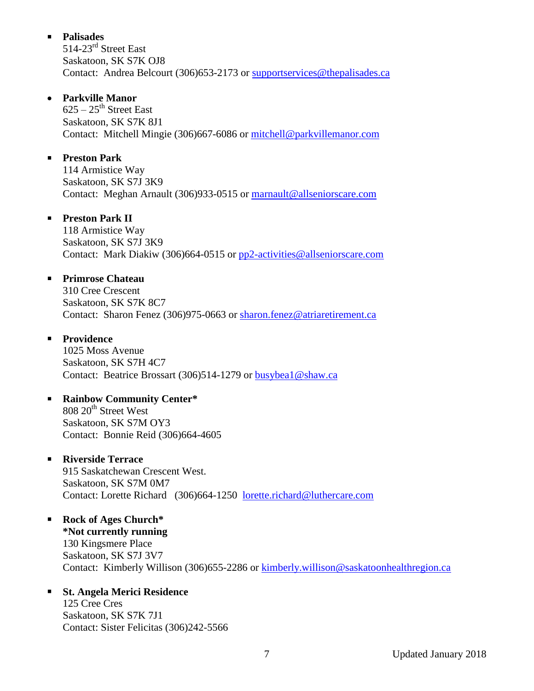## **Palisades**

514-23<sup>rd</sup> Street East Saskatoon, SK S7K OJ8 Contact: Andrea Belcourt (306)653-2173 or [supportservices@thepalisades.ca](mailto:supportservices@thepalisades.ca)

## **Parkville Manor**

 $625 - 25$ <sup>th</sup> Street East Saskatoon, SK S7K 8J1 Contact: Mitchell Mingie (306)667-6086 or [mitchell@parkvillemanor.com](mailto:mitchell@parkvillemanor.com)

## **Preston Park**

114 Armistice Way Saskatoon, SK S7J 3K9 Contact: Meghan Arnault (306)933-0515 or [marnault@allseniorscare.com](mailto:marnault@allseniorscare.com)

# **Preston Park II**

118 Armistice Way Saskatoon, SK S7J 3K9 Contact: Mark Diakiw (306)664-0515 or [pp2-activities@allseniorscare.com](mailto:pp2-activities@allseniorscare.com)

## **Primrose Chateau**

310 Cree Crescent Saskatoon, SK S7K 8C7 Contact: Sharon Fenez (306)975-0663 or [sharon.fenez@atriaretirement.ca](mailto:sharon.fenez@atriaretirement.ca)

## **Providence**

1025 Moss Avenue Saskatoon, SK S7H 4C7 Contact: Beatrice Brossart (306)514-1279 or [busybea1@shaw.ca](mailto:busybea1@shaw.ca)

# **Rainbow Community Center\***

808 20<sup>th</sup> Street West Saskatoon, SK S7M OY3 Contact: Bonnie Reid (306)664-4605

## **Riverside Terrace**

915 Saskatchewan Crescent West. Saskatoon, SK S7M 0M7 Contact: Lorette Richard (306)664-1250 [lorette.richard@luthercare.com](mailto:lorette.richard@luthercare.com)

## **Rock of Ages Church\* \*Not currently running** 130 Kingsmere Place Saskatoon, SK S7J 3V7 Contact: Kimberly Willison (306)655-2286 or [kimberly.willison@saskatoonhealthregion.ca](mailto:kimberly.willison@saskatoonhealthregion.ca)

# **St. Angela Merici Residence**

125 Cree Cres Saskatoon, SK S7K 7J1 Contact: Sister Felicitas (306)242-5566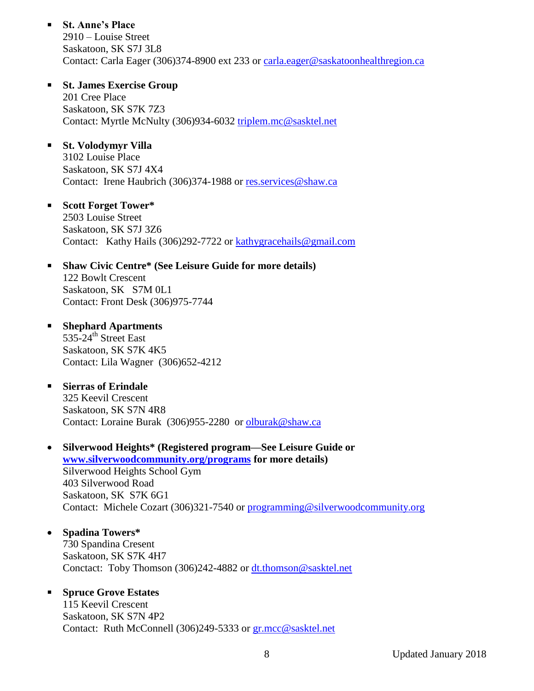- **St. Anne's Place** 2910 – Louise Street Saskatoon, SK S7J 3L8 Contact: Carla Eager (306)374-8900 ext 233 or [carla.eager@saskatoonhealthregion.ca](mailto:carla.eager@saskatoonhealthregion.ca)
- **St. James Exercise Group** 201 Cree Place Saskatoon, SK S7K 7Z3 Contact: Myrtle McNulty (306)934-6032 [triplem.mc@sasktel.net](mailto:triplem.mc@sasktel.net)
- **St. Volodymyr Villa**

3102 Louise Place Saskatoon, SK S7J 4X4 Contact: Irene Haubrich (306)374-1988 or res.services@shaw.ca

**Scott Forget Tower\***

2503 Louise Street Saskatoon, SK S7J 3Z6 Contact: Kathy Hails (306)292-7722 or [kathygracehails@gmail.com](mailto:kathygracehails@gmail.com)

**Shaw Civic Centre\* (See Leisure Guide for more details)**

122 Bowlt Crescent Saskatoon, SK S7M 0L1 Contact: Front Desk (306)975-7744

- **Shephard Apartments** 535-24<sup>th</sup> Street East Saskatoon, SK S7K 4K5 Contact: Lila Wagner (306)652-4212
- **Sierras of Erindale**  325 Keevil Crescent Saskatoon, SK S7N 4R8 Contact: Loraine Burak (306)955-2280 or [olburak@shaw.ca](mailto:olburak@shaw.ca)
- **Silverwood Heights\* (Registered program—See Leisure Guide or [www.silverwoodcommunity.org/programs](http://www.silverwoodcommunity.org/programs) for more details)** Silverwood Heights School Gym 403 Silverwood Road Saskatoon, SK S7K 6G1 Contact: Michele Cozart (306)321-7540 or [programming@silverwoodcommunity.org](mailto:programming@silverwoodcommunity.org)
- **Spadina Towers\*** 730 Spandina Cresent Saskatoon, SK S7K 4H7 Conctact: Toby Thomson (306)242-4882 or [dt.thomson@sasktel.net](mailto:dt.thomson@sasktel.net)

## **Spruce Grove Estates**

115 Keevil Crescent Saskatoon, SK S7N 4P2 Contact: Ruth McConnell (306)249-5333 or [gr.mcc@sasktel.net](mailto:gr.mcc@sasktel.net)